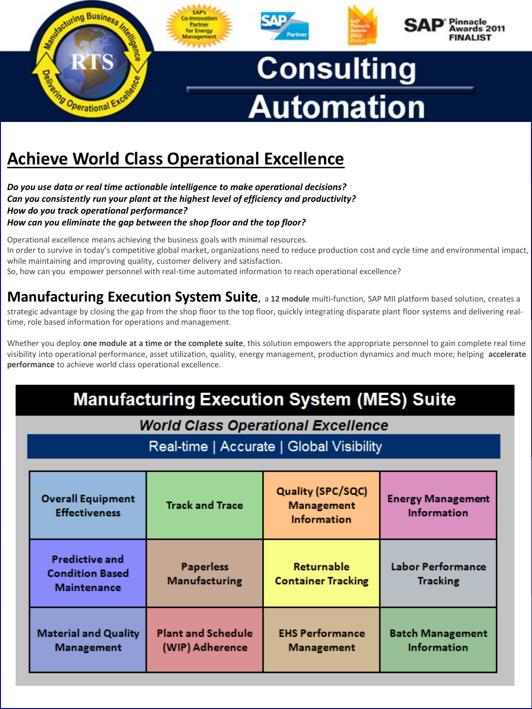

# **Achieve World Class Operational Excellence**

*Do you use data or real time actionable intelligence to make operational decisions? Can you consistently run your plant at the highest level of efficiency and productivity? How do you track operational performance? How can you eliminate the gap between the shop floor and the top floor?*

Operational excellence means achieving the business goals with minimal resources. In order to survive in today's competitive global market, organizations need to reduce production cost and cycle time and environmental impact, while maintaining and improving quality, customer delivery and satisfaction. So, how can you empower personnel with real-time automated information to reach operational excellence?

**Manufacturing Execution System Suite,** <sup>a</sup>**12 module** multi-function, SAP MII platform based solution, creates a strategic advantage by closing the gap from the shop floor to the top floor, quickly integrating disparate plant floor systems and delivering realtime, role based information for operations and management.

Whether you deploy **one module at a time or the complete suite**, this solution empowers the appropriate personnel to gain complete real time visibility into operational performance, asset utilization, quality, energy management, production dynamics and much more; helping **accelerate performance** to achieve world class operational excellence.

## **Manufacturing Execution System (MES) Suite**

**World Class Operational Excellence** 

Real-time | Accurate | Global Visibility

| <b>Overall Equipment</b><br><b>Effectiveness</b>                      | <b>Track and Trace</b>                       | Quality (SPC/SQC)<br><b>Management</b><br><b>Information</b> | <b>Energy Management</b><br><b>Information</b> |
|-----------------------------------------------------------------------|----------------------------------------------|--------------------------------------------------------------|------------------------------------------------|
| <b>Predictive and</b><br><b>Condition Based</b><br><b>Maintenance</b> | <b>Paperless</b><br><b>Manufacturing</b>     | Returnable<br><b>Container Tracking</b>                      | <b>Labor Performance</b><br><b>Tracking</b>    |
| <b>Material and Quality</b><br><b>Management</b>                      | <b>Plant and Schedule</b><br>(WIP) Adherence | <b>EHS Performance</b><br><b>Management</b>                  | <b>Batch Management</b><br><b>Information</b>  |